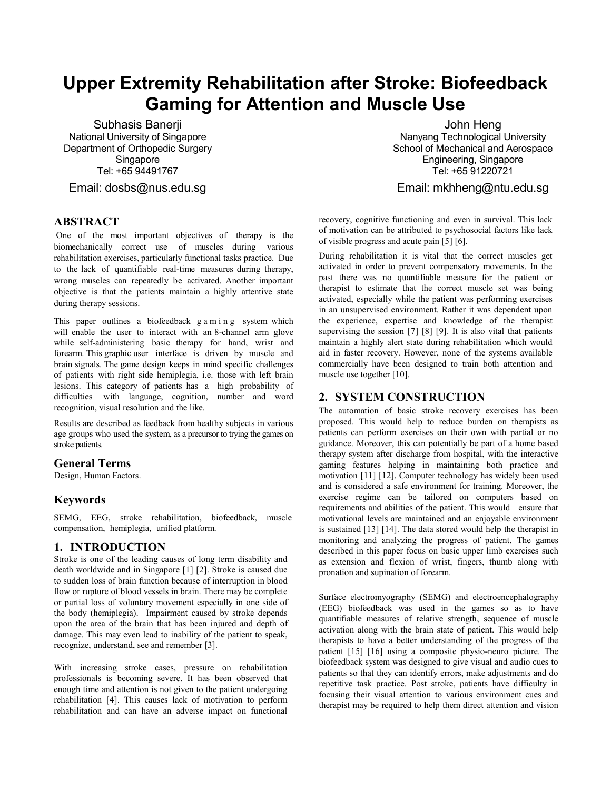# **Upper Extremity Rehabilitation after Stroke: Biofeedback Gaming for Attention and Muscle Use**

Subhasis Banerji National University of Singapore Department of Orthopedic Surgery Singapore Tel: +65 94491767

Email: dosbs@nus.edu.sg

## **ABSTRACT**

One of the most important objectives of therapy is the biomechanically correct use of muscles during various rehabilitation exercises, particularly functional tasks practice. Due to the lack of quantifiable real-time measures during therapy, wrong muscles can repeatedly be activated. Another important objective is that the patients maintain a highly attentive state during therapy sessions.

This paper outlines a biofeedback g a m i n g system which will enable the user to interact with an 8-channel arm glove while self-administering basic therapy for hand, wrist and forearm. This graphic user interface is driven by muscle and brain signals. The game design keeps in mind specific challenges of patients with right side hemiplegia, i.e. those with left brain lesions. This category of patients has a high probability of difficulties with language, cognition, number and word recognition, visual resolution and the like.

Results are described as feedback from healthy subjects in various age groups who used the system, as a precursor to trying the games on stroke patients.

#### **General Terms**

Design, Human Factors.

## **Keywords**

SEMG, EEG, stroke rehabilitation, biofeedback, muscle compensation, hemiplegia, unified platform.

#### **1. INTRODUCTION**

Stroke is one of the leading causes of long term disability and death worldwide and in Singapore [1] [2]. Stroke is caused due to sudden loss of brain function because of interruption in blood flow or rupture of blood vessels in brain. There may be complete or partial loss of voluntary movement especially in one side of the body (hemiplegia). Impairment caused by stroke depends upon the area of the brain that has been injured and depth of damage. This may even lead to inability of the patient to speak, recognize, understand, see and remember [3].

With increasing stroke cases, pressure on rehabilitation professionals is becoming severe. It has been observed that enough time and attention is not given to the patient undergoing rehabilitation [4]. This causes lack of motivation to perform rehabilitation and can have an adverse impact on functional

John Heng Nanyang Technological University School of Mechanical and Aerospace Engineering, Singapore Tel: +65 91220721

Email: mkhheng@ntu.edu.sg

recovery, cognitive functioning and even in survival. This lack of motivation can be attributed to psychosocial factors like lack of visible progress and acute pain [5] [6].

During rehabilitation it is vital that the correct muscles get activated in order to prevent compensatory movements. In the past there was no quantifiable measure for the patient or therapist to estimate that the correct muscle set was being activated, especially while the patient was performing exercises in an unsupervised environment. Rather it was dependent upon the experience, expertise and knowledge of the therapist supervising the session [7] [8] [9]. It is also vital that patients maintain a highly alert state during rehabilitation which would aid in faster recovery. However, none of the systems available commercially have been designed to train both attention and muscle use together [10].

## **2. SYSTEM CONSTRUCTION**

The automation of basic stroke recovery exercises has been proposed. This would help to reduce burden on therapists as patients can perform exercises on their own with partial or no guidance. Moreover, this can potentially be part of a home based therapy system after discharge from hospital, with the interactive gaming features helping in maintaining both practice and motivation [11] [12]. Computer technology has widely been used and is considered a safe environment for training. Moreover, the exercise regime can be tailored on computers based on requirements and abilities of the patient. This would ensure that motivational levels are maintained and an enjoyable environment is sustained [13] [14]. The data stored would help the therapist in monitoring and analyzing the progress of patient. The games described in this paper focus on basic upper limb exercises such as extension and flexion of wrist, fingers, thumb along with pronation and supination of forearm.

Surface electromyography (SEMG) and electroencephalography (EEG) biofeedback was used in the games so as to have quantifiable measures of relative strength, sequence of muscle activation along with the brain state of patient. This would help therapists to have a better understanding of the progress of the patient [15] [16] using a composite physio-neuro picture. The biofeedback system was designed to give visual and audio cues to patients so that they can identify errors, make adjustments and do repetitive task practice. Post stroke, patients have difficulty in focusing their visual attention to various environment cues and therapist may be required to help them direct attention and vision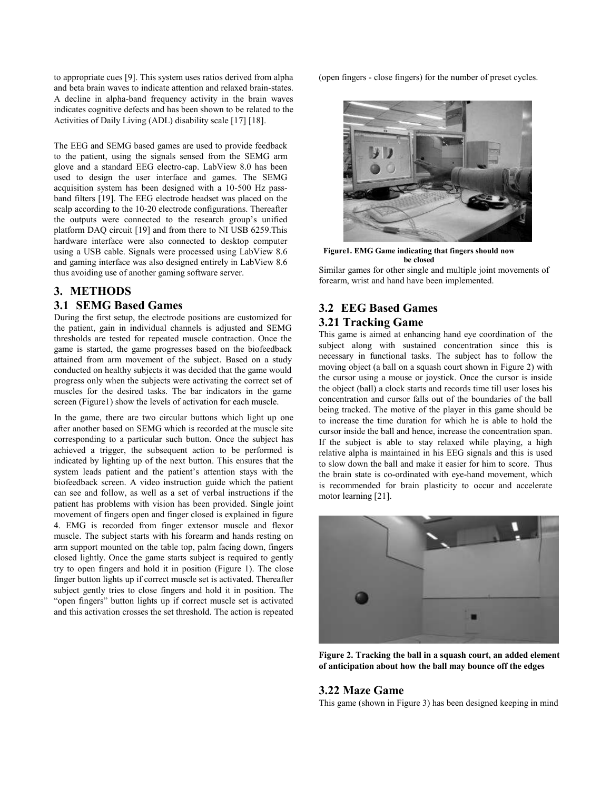to appropriate cues [9]. This system uses ratios derived from alpha and beta brain waves to indicate attention and relaxed brain-states. A decline in alpha-band frequency activity in the brain waves indicates cognitive defects and has been shown to be related to the Activities of Daily Living (ADL) disability scale [17] [18].

The EEG and SEMG based games are used to provide feedback to the patient, using the signals sensed from the SEMG arm glove and a standard EEG electro-cap. LabView 8.0 has been used to design the user interface and games. The SEMG acquisition system has been designed with a 10-500 Hz passband filters [19]. The EEG electrode headset was placed on the scalp according to the 10-20 electrode configurations. Thereafter the outputs were connected to the research group's unified platform DAQ circuit [19] and from there to NI USB 6259. This hardware interface were also connected to desktop computer using a USB cable. Signals were processed using LabView 8.6 and gaming interface was also designed entirely in LabView 8.6 thus avoiding use of another gaming software server.

# **3. METHODS**

## **3.1 SEMG Based Games**

During the first setup, the electrode positions are customized for the patient, gain in individual channels is adjusted and SEMG thresholds are tested for repeated muscle contraction. Once the game is started, the game progresses based on the biofeedback attained from arm movement of the subject. Based on a study conducted on healthy subjects it was decided that the game would progress only when the subjects were activating the correct set of muscles for the desired tasks. The bar indicators in the game screen (Figure1) show the levels of activation for each muscle.

In the game, there are two circular buttons which light up one after another based on SEMG which is recorded at the muscle site corresponding to a particular such button. Once the subject has achieved a trigger, the subsequent action to be performed is indicated by lighting up of the next button. This ensures that the system leads patient and the patient's attention stays with the biofeedback screen. A video instruction guide which the patient can see and follow, as well as a set of verbal instructions if the patient has problems with vision has been provided. Single joint movement of fingers open and finger closed is explained in figure 4. EMG is recorded from finger extensor muscle and flexor muscle. The subject starts with his forearm and hands resting on arm support mounted on the table top, palm facing down, fingers closed lightly. Once the game starts subject is required to gently try to open fingers and hold it in position (Figure 1). The close finger button lights up if correct muscle set is activated. Thereafter subject gently tries to close fingers and hold it in position. The "open fingers" button lights up if correct muscle set is activated and this activation crosses the set threshold. The action is repeated

(open fingers - close fingers) for the number of preset cycles.



**Figure1. EMG Game indicating that fingers should now be closed**

Similar games for other single and multiple joint movements of forearm, wrist and hand have been implemented.

# **3.2 EEG Based Games 3.21 Tracking Game**

This game is aimed at enhancing hand eye coordination of the subject along with sustained concentration since this is necessary in functional tasks. The subject has to follow the moving object (a ball on a squash court shown in Figure 2) with the cursor using a mouse or joystick. Once the cursor is inside the object (ball) a clock starts and records time till user loses his concentration and cursor falls out of the boundaries of the ball being tracked. The motive of the player in this game should be to increase the time duration for which he is able to hold the cursor inside the ball and hence, increase the concentration span. If the subject is able to stay relaxed while playing, a high relative alpha is maintained in his EEG signals and this is used to slow down the ball and make it easier for him to score. Thus the brain state is co-ordinated with eye-hand movement, which is recommended for brain plasticity to occur and accelerate motor learning [21].



**Figure 2. Tracking the ball in a squash court, an added element of anticipation about how the ball may bounce off the edges**

#### **3.22 Maze Game**

This game (shown in Figure 3) has been designed keeping in mind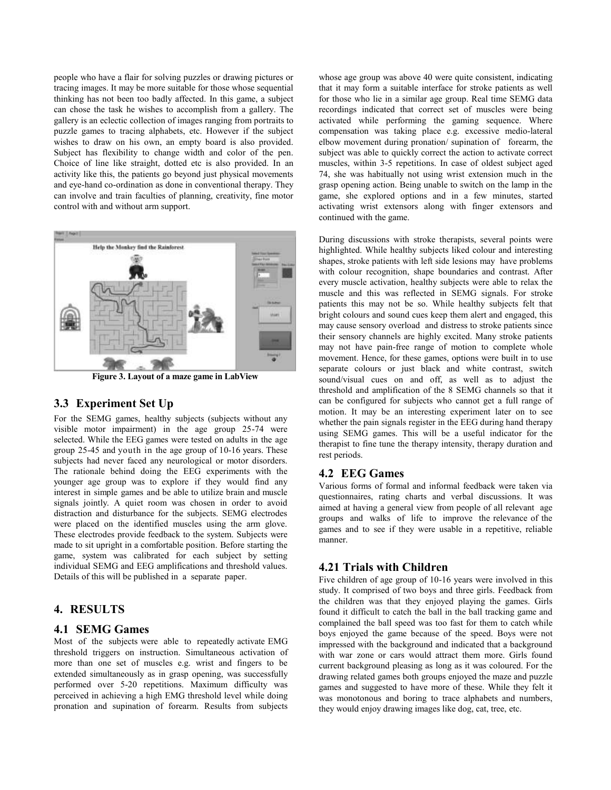people who have a flair for solving puzzles or drawing pictures or tracing images. It may be more suitable for those whose sequential thinking has not been too badly affected. In this game, a subject can chose the task he wishes to accomplish from a gallery. The gallery is an eclectic collection of images ranging from portraits to puzzle games to tracing alphabets, etc. However if the subject wishes to draw on his own, an empty board is also provided. Subject has flexibility to change width and color of the pen. Choice of line like straight, dotted etc is also provided. In an activity like this, the patients go beyond just physical movements and eye-hand co-ordination as done in conventional therapy. They can involve and train faculties of planning, creativity, fine motor control with and without arm support.



**Figure 3. Layout of a maze game in LabView**

### **3.3 Experiment Set Up**

For the SEMG games, healthy subjects (subjects without any visible motor impairment) in the age group 25-74 were selected. While the EEG games were tested on adults in the age group 25-45 and youth in the age group of 10-16 years. These subjects had never faced any neurological or motor disorders. The rationale behind doing the EEG experiments with the younger age group was to explore if they would find any interest in simple games and be able to utilize brain and muscle signals jointly. A quiet room was chosen in order to avoid distraction and disturbance for the subjects. SEMG electrodes were placed on the identified muscles using the arm glove. These electrodes provide feedback to the system. Subjects were made to sit upright in a comfortable position. Before starting the game, system was calibrated for each subject by setting individual SEMG and EEG amplifications and threshold values. Details of this will be published in a separate paper.

## **4. RESULTS**

#### **4.1 SEMG Games**

Most of the subjects were able to repeatedly activate EMG threshold triggers on instruction. Simultaneous activation of more than one set of muscles e.g. wrist and fingers to be extended simultaneously as in grasp opening, was successfully performed over 5-20 repetitions. Maximum difficulty was perceived in achieving a high EMG threshold level while doing pronation and supination of forearm. Results from subjects

whose age group was above 40 were quite consistent, indicating that it may form a suitable interface for stroke patients as well for those who lie in a similar age group. Real time SEMG data recordings indicated that correct set of muscles were being activated while performing the gaming sequence. Where compensation was taking place e.g. excessive medio-lateral elbow movement during pronation/ supination of forearm, the subject was able to quickly correct the action to activate correct muscles, within 3-5 repetitions. In case of oldest subject aged 74, she was habitually not using wrist extension much in the grasp opening action. Being unable to switch on the lamp in the game, she explored options and in a few minutes, started activating wrist extensors along with finger extensors and continued with the game.

During discussions with stroke therapists, several points were highlighted. While healthy subjects liked colour and interesting shapes, stroke patients with left side lesions may have problems with colour recognition, shape boundaries and contrast. After every muscle activation, healthy subjects were able to relax the muscle and this was reflected in SEMG signals. For stroke patients this may not be so. While healthy subjects felt that bright colours and sound cues keep them alert and engaged, this may cause sensory overload and distress to stroke patients since their sensory channels are highly excited. Many stroke patients may not have pain-free range of motion to complete whole movement. Hence, for these games, options were built in to use separate colours or just black and white contrast, switch sound/visual cues on and off, as well as to adjust the threshold and amplification of the 8 SEMG channels so that it can be configured for subjects who cannot get a full range of motion. It may be an interesting experiment later on to see whether the pain signals register in the EEG during hand therapy using SEMG games. This will be a useful indicator for the therapist to fine tune the therapy intensity, therapy duration and rest periods.

#### **4.2 EEG Games**

Various forms of formal and informal feedback were taken via questionnaires, rating charts and verbal discussions. It was aimed at having a general view from people of all relevant age groups and walks of life to improve the relevance of the games and to see if they were usable in a repetitive, reliable manner.

#### **4.21 Trials with Children**

Five children of age group of 10-16 years were involved in this study. It comprised of two boys and three girls. Feedback from the children was that they enjoyed playing the games. Girls found it difficult to catch the ball in the ball tracking game and complained the ball speed was too fast for them to catch while boys enjoyed the game because of the speed. Boys were not impressed with the background and indicated that a background with war zone or cars would attract them more. Girls found current background pleasing as long as it was coloured. For the drawing related games both groups enjoyed the maze and puzzle games and suggested to have more of these. While they felt it was monotonous and boring to trace alphabets and numbers, they would enjoy drawing images like dog, cat, tree, etc.